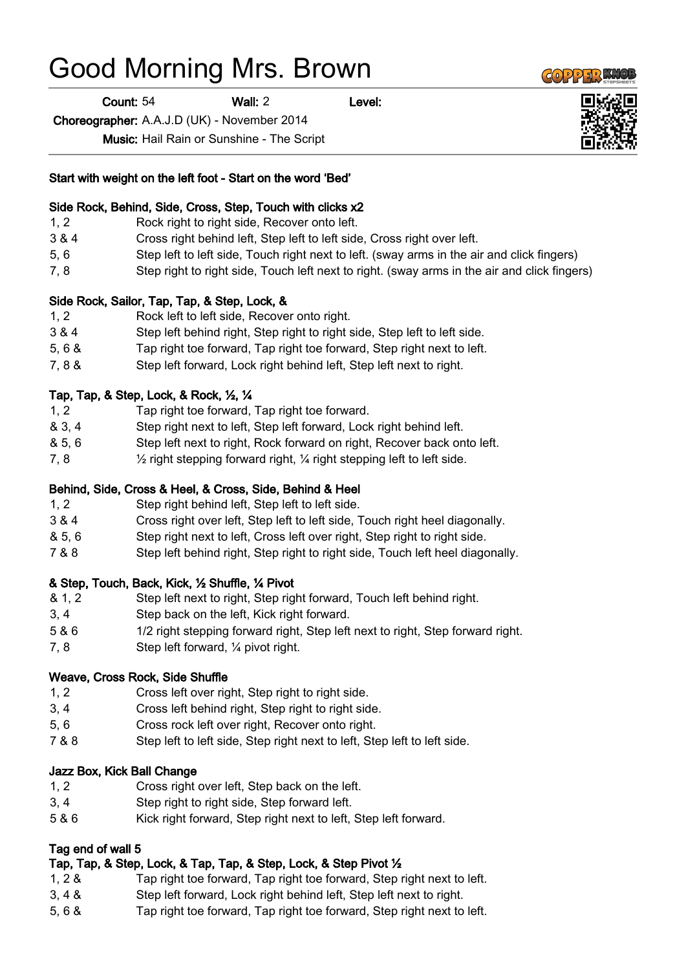# Good Morning Mrs. Brown

Count: 54 Wall: 2 Level:

Choreographer: A.A.J.D (UK) - November 2014

Music: Hail Rain or Sunshine - The Script

#### Start with weight on the left foot - Start on the word 'Bed'

#### Side Rock, Behind, Side, Cross, Step, Touch with clicks x2

- 1, 2 Rock right to right side, Recover onto left.
- 3 & 4 Cross right behind left, Step left to left side, Cross right over left.
- 5, 6 Step left to left side, Touch right next to left. (sway arms in the air and click fingers)
- 7, 8 Step right to right side, Touch left next to right. (sway arms in the air and click fingers)

#### Side Rock, Sailor, Tap, Tap, & Step, Lock, &

- 1, 2 Rock left to left side, Recover onto right.
- 3 & 4 Step left behind right, Step right to right side, Step left to left side.
- 5, 6 & Tap right toe forward, Tap right toe forward, Step right next to left.
- 7, 8 & Step left forward, Lock right behind left, Step left next to right.

#### Tap, Tap, & Step, Lock, & Rock, ½, ¼

- 1, 2 Tap right toe forward, Tap right toe forward.
- & 3, 4 Step right next to left, Step left forward, Lock right behind left.
- & 5, 6 Step left next to right, Rock forward on right, Recover back onto left.
- 7, 8 ½ right stepping forward right, ¼ right stepping left to left side.

#### Behind, Side, Cross & Heel, & Cross, Side, Behind & Heel

- 1, 2 Step right behind left, Step left to left side.
- 3 & 4 Cross right over left, Step left to left side, Touch right heel diagonally.
- & 5, 6 Step right next to left, Cross left over right, Step right to right side.
- 7 & 8 Step left behind right, Step right to right side, Touch left heel diagonally.

#### & Step, Touch, Back, Kick, ½ Shuffle, ¼ Pivot

- & 1, 2 Step left next to right, Step right forward, Touch left behind right.
- 3, 4 Step back on the left, Kick right forward.
- 5 & 6 1/2 right stepping forward right, Step left next to right, Step forward right.
- 7, 8 Step left forward, ¼ pivot right.

#### Weave, Cross Rock, Side Shuffle

- 1, 2 Cross left over right, Step right to right side.
- 3, 4 Cross left behind right, Step right to right side.
- 5, 6 Cross rock left over right, Recover onto right.
- 7 & 8 Step left to left side, Step right next to left, Step left to left side.

#### Jazz Box, Kick Ball Change

- 1, 2 Cross right over left, Step back on the left.
- 3, 4 Step right to right side, Step forward left.
- 5 & 6 Kick right forward, Step right next to left, Step left forward.

## Tag end of wall 5

## Tap, Tap, & Step, Lock, & Tap, Tap, & Step, Lock, & Step Pivot ½

- 1, 2 & Tap right toe forward, Tap right toe forward, Step right next to left.
- 3, 4 & Step left forward, Lock right behind left, Step left next to right.
- 5, 6 & Tap right toe forward, Tap right toe forward, Step right next to left.